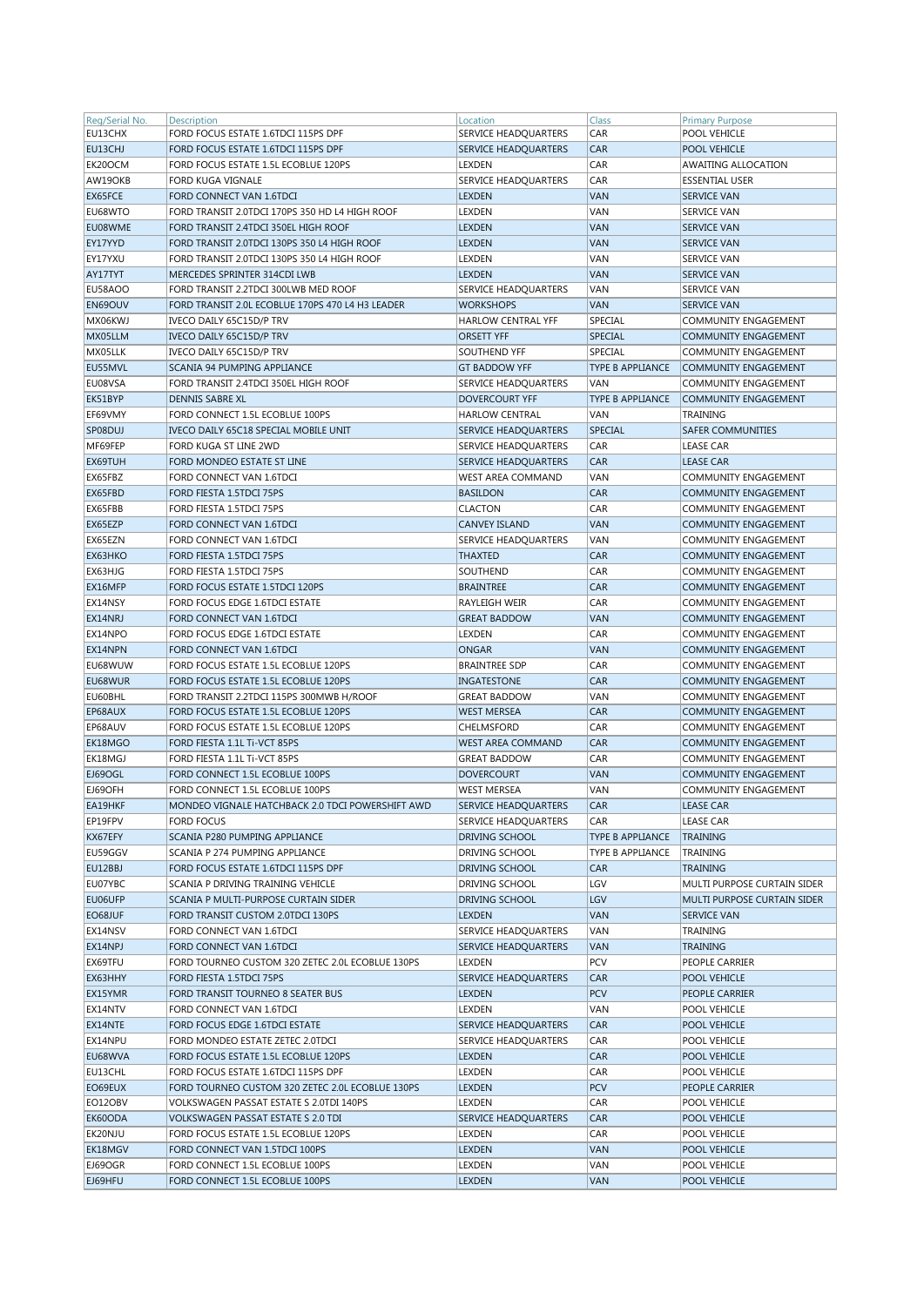| Reg/Serial No. | <b>Description</b>                               | Location                    | Class                   | <b>Primary Purpose</b>      |
|----------------|--------------------------------------------------|-----------------------------|-------------------------|-----------------------------|
| EU13CHX        | FORD FOCUS ESTATE 1.6TDCI 115PS DPF              | SERVICE HEADQUARTERS        | CAR                     | POOL VEHICLE                |
| EU13CHJ        | FORD FOCUS ESTATE 1.6TDCI 115PS DPF              | SERVICE HEADQUARTERS        | <b>CAR</b>              | <b>POOL VEHICLE</b>         |
| EK20OCM        | FORD FOCUS ESTATE 1.5L ECOBLUE 120PS             | LEXDEN                      | CAR                     | <b>AWAITING ALLOCATION</b>  |
| AW19OKB        | FORD KUGA VIGNALE                                | SERVICE HEADQUARTERS        | CAR                     | <b>ESSENTIAL USER</b>       |
| EX65FCE        | FORD CONNECT VAN 1.6TDCI                         | <b>LEXDEN</b>               | <b>VAN</b>              | <b>SERVICE VAN</b>          |
| EU68WTO        | FORD TRANSIT 2.0TDCI 170PS 350 HD L4 HIGH ROOF   | <b>LEXDEN</b>               | VAN                     | <b>SERVICE VAN</b>          |
| EU08WME        | FORD TRANSIT 2.4TDCI 350EL HIGH ROOF             | <b>LEXDEN</b>               | <b>VAN</b>              | <b>SERVICE VAN</b>          |
|                |                                                  |                             |                         |                             |
| EY17YYD        | FORD TRANSIT 2.0TDCI 130PS 350 L4 HIGH ROOF      | <b>LEXDEN</b>               | <b>VAN</b>              | <b>SERVICE VAN</b>          |
| EY17YXU        | FORD TRANSIT 2.0TDCI 130PS 350 L4 HIGH ROOF      | <b>LEXDEN</b>               | VAN                     | <b>SERVICE VAN</b>          |
| AY17TYT        | MERCEDES SPRINTER 314CDI LWB                     | <b>LEXDEN</b>               | VAN                     | <b>SERVICE VAN</b>          |
| EU58AOO        | FORD TRANSIT 2.2TDCI 300LWB MED ROOF             | SERVICE HEADQUARTERS        | VAN                     | <b>SERVICE VAN</b>          |
| EN69OUV        | FORD TRANSIT 2.0L ECOBLUE 170PS 470 L4 H3 LEADER | <b>WORKSHOPS</b>            | VAN                     | <b>SERVICE VAN</b>          |
| MX06KWJ        | IVECO DAILY 65C15D/P TRV                         | HARLOW CENTRAL YFF          | SPECIAL                 | COMMUNITY ENGAGEMENT        |
| MX05LLM        | IVECO DAILY 65C15D/P TRV                         | <b>ORSETT YFF</b>           | <b>SPECIAL</b>          | <b>COMMUNITY ENGAGEMENT</b> |
| MX05LLK        | IVECO DAILY 65C15D/P TRV                         | SOUTHEND YFF                | SPECIAL                 | COMMUNITY ENGAGEMENT        |
| EU55MVL        | SCANIA 94 PUMPING APPLIANCE                      | <b>GT BADDOW YFF</b>        | <b>TYPE B APPLIANCE</b> | <b>COMMUNITY ENGAGEMENT</b> |
| EU08VSA        | FORD TRANSIT 2.4TDCI 350EL HIGH ROOF             | SERVICE HEADQUARTERS        | VAN                     | COMMUNITY ENGAGEMENT        |
| EK51BYP        | <b>DENNIS SABRE XL</b>                           | <b>DOVERCOURT YFF</b>       | <b>TYPE B APPLIANCE</b> | <b>COMMUNITY ENGAGEMENT</b> |
|                |                                                  |                             |                         |                             |
| EF69VMY        | FORD CONNECT 1.5L ECOBLUE 100PS                  | <b>HARLOW CENTRAL</b>       | VAN                     | TRAINING                    |
| SP08DUJ        | IVECO DAILY 65C18 SPECIAL MOBILE UNIT            | SERVICE HEADQUARTERS        | SPECIAL                 | <b>SAFER COMMUNITIES</b>    |
| MF69FEP        | FORD KUGA ST LINE 2WD                            | SERVICE HEADQUARTERS        | CAR                     | <b>LEASE CAR</b>            |
| EX69TUH        | FORD MONDEO ESTATE ST LINE                       | <b>SERVICE HEADQUARTERS</b> | CAR                     | <b>LEASE CAR</b>            |
| EX65FBZ        | FORD CONNECT VAN 1.6TDCI                         | <b>WEST AREA COMMAND</b>    | VAN                     | <b>COMMUNITY ENGAGEMENT</b> |
| EX65FBD        | FORD FIESTA 1.5TDCI 75PS                         | <b>BASILDON</b>             | CAR                     | <b>COMMUNITY ENGAGEMENT</b> |
| EX65FBB        | FORD FIESTA 1.5TDCI 75PS                         | <b>CLACTON</b>              | CAR                     | <b>COMMUNITY ENGAGEMENT</b> |
| EX65EZP        | FORD CONNECT VAN 1.6TDCI                         | <b>CANVEY ISLAND</b>        | VAN                     | <b>COMMUNITY ENGAGEMENT</b> |
| EX65EZN        | FORD CONNECT VAN 1.6TDCI                         | SERVICE HEADQUARTERS        | VAN                     | <b>COMMUNITY ENGAGEMENT</b> |
|                |                                                  | <b>THAXTED</b>              | CAR                     |                             |
| EX63HKO        | FORD FIESTA 1.5TDCI 75PS                         |                             |                         | COMMUNITY ENGAGEMENT        |
| EX63HJG        | FORD FIESTA 1.5TDCI 75PS                         | SOUTHEND                    | CAR                     | <b>COMMUNITY ENGAGEMENT</b> |
| EX16MFP        | FORD FOCUS ESTATE 1.5TDCI 120PS                  | <b>BRAINTREE</b>            | CAR                     | <b>COMMUNITY ENGAGEMENT</b> |
| EX14NSY        | FORD FOCUS EDGE 1.6TDCI ESTATE                   | RAYLEIGH WEIR               | CAR                     | COMMUNITY ENGAGEMENT        |
| EX14NRJ        | FORD CONNECT VAN 1.6TDCI                         | <b>GREAT BADDOW</b>         | <b>VAN</b>              | <b>COMMUNITY ENGAGEMENT</b> |
| EX14NPO        | FORD FOCUS EDGE 1.6TDCI ESTATE                   | LEXDEN                      | CAR                     | <b>COMMUNITY ENGAGEMENT</b> |
| EX14NPN        | FORD CONNECT VAN 1.6TDCI                         | <b>ONGAR</b>                | VAN                     | <b>COMMUNITY ENGAGEMENT</b> |
| EU68WUW        | FORD FOCUS ESTATE 1.5L ECOBLUE 120PS             | <b>BRAINTREE SDP</b>        | CAR                     | <b>COMMUNITY ENGAGEMENT</b> |
| EU68WUR        | FORD FOCUS ESTATE 1.5L ECOBLUE 120PS             | <b>INGATESTONE</b>          | CAR                     | <b>COMMUNITY ENGAGEMENT</b> |
| EU60BHL        | FORD TRANSIT 2.2TDCI 115PS 300MWB H/ROOF         | <b>GREAT BADDOW</b>         | VAN                     | <b>COMMUNITY ENGAGEMENT</b> |
| EP68AUX        | FORD FOCUS ESTATE 1.5L ECOBLUE 120PS             | <b>WEST MERSEA</b>          | CAR                     | <b>COMMUNITY ENGAGEMENT</b> |
| EP68AUV        | FORD FOCUS ESTATE 1.5L ECOBLUE 120PS             | CHELMSFORD                  | CAR                     | <b>COMMUNITY ENGAGEMENT</b> |
|                |                                                  |                             |                         |                             |
| EK18MGO        | FORD FIESTA 1.1L Ti-VCT 85PS                     | <b>WEST AREA COMMAND</b>    | CAR                     | <b>COMMUNITY ENGAGEMENT</b> |
| EK18MGJ        | FORD FIESTA 1.1L Ti-VCT 85PS                     | <b>GREAT BADDOW</b>         | CAR                     | COMMUNITY ENGAGEMENT        |
| EJ69OGL        | FORD CONNECT 1.5L ECOBLUE 100PS                  | <b>DOVERCOURT</b>           | <b>VAN</b>              | <b>COMMUNITY ENGAGEMENT</b> |
| EJ69OFH        | FORD CONNECT 1.5L ECOBLUE 100PS                  | <b>WEST MERSEA</b>          | VAN                     | <b>COMMUNITY ENGAGEMENT</b> |
| EA19HKF        | MONDEO VIGNALE HATCHBACK 2.0 TDCI POWERSHIFT AWD | <b>SERVICE HEADQUARTERS</b> | CAR                     | <b>LEASE CAR</b>            |
| EP19FPV        | <b>FORD FOCUS</b>                                | SERVICE HEADQUARTERS        | CAR                     | <b>LEASE CAR</b>            |
| KX67EFY        | SCANIA P280 PUMPING APPLIANCE                    | DRIVING SCHOOL              | TYPE B APPLIANCE        | <b>TRAINING</b>             |
| EU59GGV        | SCANIA P 274 PUMPING APPLIANCE                   | DRIVING SCHOOL              | TYPE B APPLIANCE        | TRAINING                    |
| EU12BBJ        | FORD FOCUS ESTATE 1.6TDCI 115PS DPF              | DRIVING SCHOOL              | <b>CAR</b>              | <b>TRAINING</b>             |
| EU07YBC        | SCANIA P DRIVING TRAINING VEHICLE                | DRIVING SCHOOL              | LGV                     | MULTI PURPOSE CURTAIN SIDER |
| EU06UFP        | SCANIA P MULTI-PURPOSE CURTAIN SIDER             | DRIVING SCHOOL              | LGV                     | MULTI PURPOSE CURTAIN SIDER |
|                |                                                  |                             |                         |                             |
| EO68JUF        | FORD TRANSIT CUSTOM 2.0TDCI 130PS                | <b>LEXDEN</b>               | VAN                     | SERVICE VAN                 |
| EX14NSV        | FORD CONNECT VAN 1.6TDCI                         | SERVICE HEADQUARTERS        | VAN                     | TRAINING                    |
| EX14NPJ        | FORD CONNECT VAN 1.6TDCI                         | SERVICE HEADQUARTERS        | VAN                     | TRAINING                    |
| EX69TFU        | FORD TOURNEO CUSTOM 320 ZETEC 2.0L ECOBLUE 130PS | LEXDEN                      | <b>PCV</b>              | PEOPLE CARRIER              |
| EX63HHY        | FORD FIESTA 1.5TDCI 75PS                         | SERVICE HEADQUARTERS        | CAR                     | POOL VEHICLE                |
| EX15YMR        | FORD TRANSIT TOURNEO 8 SEATER BUS                | <b>LEXDEN</b>               | <b>PCV</b>              | PEOPLE CARRIER              |
| EX14NTV        | FORD CONNECT VAN 1.6TDCI                         | LEXDEN                      | VAN                     | POOL VEHICLE                |
| EX14NTE        | FORD FOCUS EDGE 1.6TDCI ESTATE                   | SERVICE HEADQUARTERS        | <b>CAR</b>              | POOL VEHICLE                |
| EX14NPU        | FORD MONDEO ESTATE ZETEC 2.0TDCI                 | SERVICE HEADQUARTERS        | CAR                     | POOL VEHICLE                |
| EU68WVA        | FORD FOCUS ESTATE 1.5L ECOBLUE 120PS             | <b>LEXDEN</b>               | <b>CAR</b>              | POOL VEHICLE                |
| EU13CHL        | FORD FOCUS ESTATE 1.6TDCI 115PS DPF              | LEXDEN                      | CAR                     | POOL VEHICLE                |
|                |                                                  |                             | PCV                     |                             |
| EO69EUX        | FORD TOURNEO CUSTOM 320 ZETEC 2.0L ECOBLUE 130PS | <b>LEXDEN</b>               |                         | PEOPLE CARRIER              |
| EO12OBV        | VOLKSWAGEN PASSAT ESTATE S 2.0TDI 140PS          | LEXDEN                      | CAR                     | POOL VEHICLE                |
| EK60ODA        | VOLKSWAGEN PASSAT ESTATE S 2.0 TDI               | SERVICE HEADQUARTERS        | <b>CAR</b>              | POOL VEHICLE                |
| EK20NJU        | FORD FOCUS ESTATE 1.5L ECOBLUE 120PS             | LEXDEN                      | CAR                     | POOL VEHICLE                |
| EK18MGV        | FORD CONNECT VAN 1.5TDCI 100PS                   | <b>LEXDEN</b>               | VAN                     | POOL VEHICLE                |
| EJ69OGR        | FORD CONNECT 1.5L ECOBLUE 100PS                  | LEXDEN                      | VAN                     | POOL VEHICLE                |
| EJ69HFU        | FORD CONNECT 1.5L ECOBLUE 100PS                  | <b>LEXDEN</b>               | VAN                     | POOL VEHICLE                |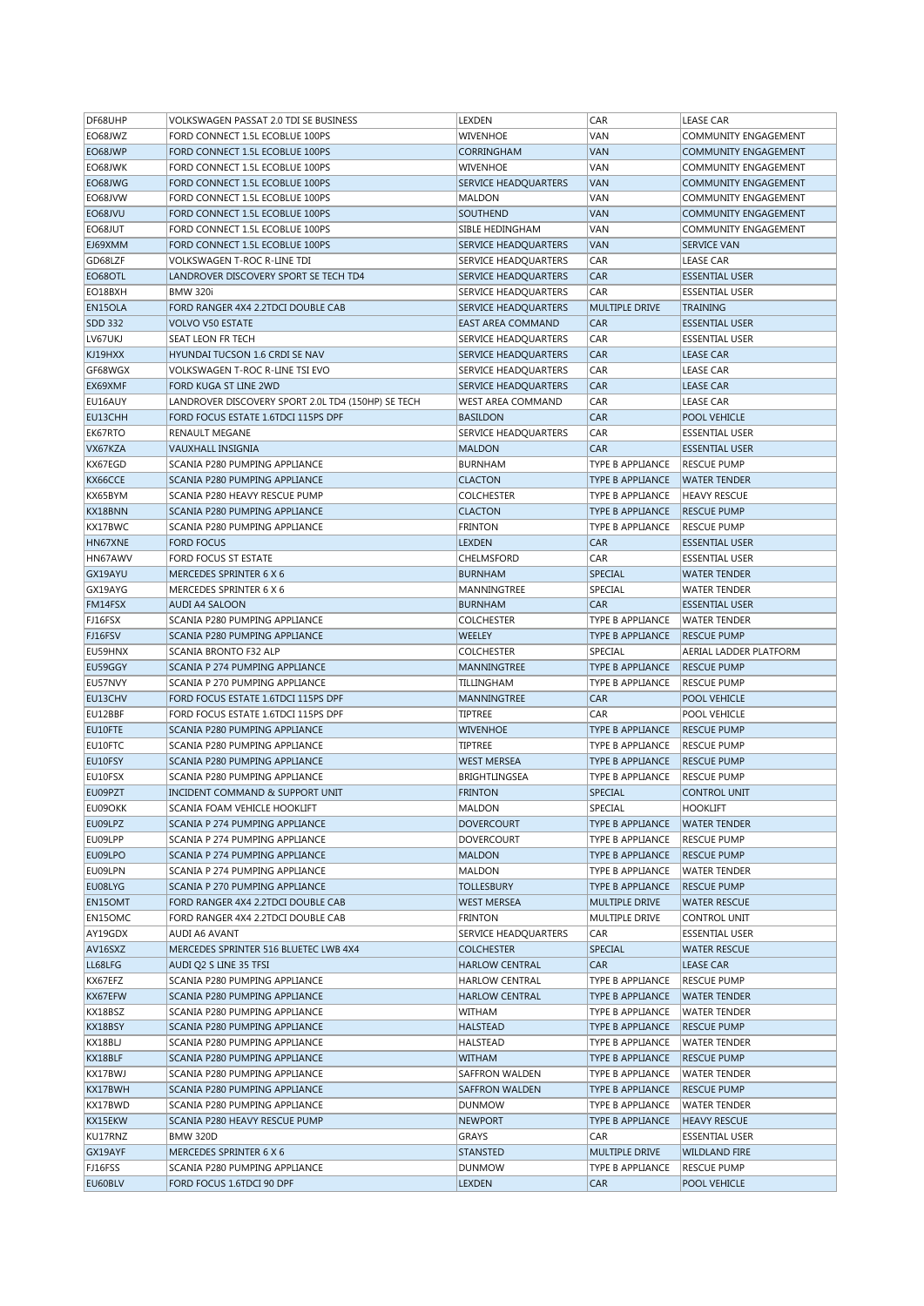| DF68UHP        | <b>VOLKSWAGEN PASSAT 2.0 TDI SE BUSINESS</b>       | LEXDEN                      | CAR                     | <b>LEASE CAR</b>            |
|----------------|----------------------------------------------------|-----------------------------|-------------------------|-----------------------------|
| EO68JWZ        | FORD CONNECT 1.5L ECOBLUE 100PS                    | <b>WIVENHOE</b>             | VAN                     | COMMUNITY ENGAGEMENT        |
| EO68JWP        | FORD CONNECT 1.5L ECOBLUE 100PS                    | <b>CORRINGHAM</b>           | <b>VAN</b>              | <b>COMMUNITY ENGAGEMENT</b> |
| EO68JWK        | FORD CONNECT 1.5L ECOBLUE 100PS                    | <b>WIVENHOE</b>             | VAN                     | COMMUNITY ENGAGEMENT        |
| EO68JWG        | FORD CONNECT 1.5L ECOBLUE 100PS                    | SERVICE HEADQUARTERS        | <b>VAN</b>              | COMMUNITY ENGAGEMENT        |
| EO68JVW        | FORD CONNECT 1.5L ECOBLUE 100PS                    | MALDON                      | VAN                     | COMMUNITY ENGAGEMENT        |
| EO68JVU        | FORD CONNECT 1.5L ECOBLUE 100PS                    | SOUTHEND                    | <b>VAN</b>              | <b>COMMUNITY ENGAGEMENT</b> |
| EO68JUT        | FORD CONNECT 1.5L ECOBLUE 100PS                    | SIBLE HEDINGHAM             | VAN                     | <b>COMMUNITY ENGAGEMENT</b> |
| EJ69XMM        | FORD CONNECT 1.5L ECOBLUE 100PS                    | SERVICE HEADQUARTERS        | <b>VAN</b>              | <b>SERVICE VAN</b>          |
| GD68LZF        | VOLKSWAGEN T-ROC R-LINE TDI                        | SERVICE HEADQUARTERS        | CAR                     | <b>LEASE CAR</b>            |
| EO68OTL        | LANDROVER DISCOVERY SPORT SE TECH TD4              | <b>SERVICE HEADQUARTERS</b> | <b>CAR</b>              | <b>ESSENTIAL USER</b>       |
| EO18BXH        | <b>BMW 320i</b>                                    | SERVICE HEADQUARTERS        | CAR                     | <b>ESSENTIAL USER</b>       |
| EN15OLA        | FORD RANGER 4X4 2.2TDCI DOUBLE CAB                 | SERVICE HEADQUARTERS        | <b>MULTIPLE DRIVE</b>   | <b>TRAINING</b>             |
| <b>SDD 332</b> | <b>VOLVO V50 ESTATE</b>                            | <b>EAST AREA COMMAND</b>    | <b>CAR</b>              | <b>ESSENTIAL USER</b>       |
| LV67UKJ        | <b>SEAT LEON FR TECH</b>                           | SERVICE HEADQUARTERS        | CAR                     | <b>ESSENTIAL USER</b>       |
| KJ19HXX        | HYUNDAI TUCSON 1.6 CRDI SE NAV                     | SERVICE HEADQUARTERS        | CAR                     | <b>LEASE CAR</b>            |
| GF68WGX        | VOLKSWAGEN T-ROC R-LINE TSI EVO                    |                             | CAR                     | <b>LEASE CAR</b>            |
|                |                                                    | SERVICE HEADQUARTERS        |                         |                             |
| EX69XMF        | FORD KUGA ST LINE 2WD                              | SERVICE HEADQUARTERS        | <b>CAR</b>              | <b>LEASE CAR</b>            |
| EU16AUY        | LANDROVER DISCOVERY SPORT 2.0L TD4 (150HP) SE TECH | WEST AREA COMMAND           | CAR                     | <b>LEASE CAR</b>            |
| EU13CHH        | FORD FOCUS ESTATE 1.6TDCI 115PS DPF                | <b>BASILDON</b>             | <b>CAR</b>              | POOL VEHICLE                |
| EK67RTO        | <b>RENAULT MEGANE</b>                              | SERVICE HEADQUARTERS        | CAR                     | <b>ESSENTIAL USER</b>       |
| VX67KZA        | VAUXHALL INSIGNIA                                  | <b>MALDON</b>               | <b>CAR</b>              | <b>ESSENTIAL USER</b>       |
| KX67EGD        | SCANIA P280 PUMPING APPLIANCE                      | <b>BURNHAM</b>              | TYPE B APPLIANCE        | <b>RESCUE PUMP</b>          |
| KX66CCE        | SCANIA P280 PUMPING APPLIANCE                      | <b>CLACTON</b>              | TYPE B APPLIANCE        | <b>WATER TENDER</b>         |
| KX65BYM        | SCANIA P280 HEAVY RESCUE PUMP                      | <b>COLCHESTER</b>           | <b>TYPE B APPLIANCE</b> | <b>HEAVY RESCUE</b>         |
| KX18BNN        | SCANIA P280 PUMPING APPLIANCE                      | <b>CLACTON</b>              | <b>TYPE B APPLIANCE</b> | <b>RESCUE PUMP</b>          |
| KX17BWC        | SCANIA P280 PUMPING APPLIANCE                      | <b>FRINTON</b>              | TYPE B APPLIANCE        | <b>RESCUE PUMP</b>          |
| HN67XNE        | <b>FORD FOCUS</b>                                  | <b>LEXDEN</b>               | <b>CAR</b>              | <b>ESSENTIAL USER</b>       |
| HN67AWV        | FORD FOCUS ST ESTATE                               | CHELMSFORD                  | CAR                     | <b>ESSENTIAL USER</b>       |
| GX19AYU        | MERCEDES SPRINTER 6 X 6                            | <b>BURNHAM</b>              | SPECIAL                 | <b>WATER TENDER</b>         |
| GX19AYG        | MERCEDES SPRINTER 6 X 6                            | MANNINGTREE                 | SPECIAL                 | <b>WATER TENDER</b>         |
| FM14FSX        | <b>AUDI A4 SALOON</b>                              | <b>BURNHAM</b>              | <b>CAR</b>              | <b>ESSENTIAL USER</b>       |
| FJ16FSX        | SCANIA P280 PUMPING APPLIANCE                      | <b>COLCHESTER</b>           | TYPE B APPLIANCE        | <b>WATER TENDER</b>         |
| FJ16FSV        | SCANIA P280 PUMPING APPLIANCE                      | WEELEY                      | TYPE B APPLIANCE        | <b>RESCUE PUMP</b>          |
| EU59HNX        | SCANIA BRONTO F32 ALP                              | <b>COLCHESTER</b>           | SPECIAL                 | AERIAL LADDER PLATFORM      |
| EU59GGY        | SCANIA P 274 PUMPING APPLIANCE                     | MANNINGTREE                 | <b>TYPE B APPLIANCE</b> | <b>RESCUE PUMP</b>          |
| EU57NVY        | SCANIA P 270 PUMPING APPLIANCE                     | TILLINGHAM                  | TYPE B APPLIANCE        | <b>RESCUE PUMP</b>          |
| EU13CHV        | FORD FOCUS ESTATE 1.6TDCI 115PS DPF                | MANNINGTREE                 | <b>CAR</b>              | POOL VEHICLE                |
| EU12BBF        | FORD FOCUS ESTATE 1.6TDCI 115PS DPF                | TIPTREE                     | CAR                     | POOL VEHICLE                |
| EU10FTE        | SCANIA P280 PUMPING APPLIANCE                      | <b>WIVENHOE</b>             | <b>TYPE B APPLIANCE</b> | <b>RESCUE PUMP</b>          |
| EU10FTC        | SCANIA P280 PUMPING APPLIANCE                      | TIPTREE                     | <b>TYPE B APPLIANCE</b> | <b>RESCUE PUMP</b>          |
| EU10FSY        | SCANIA P280 PUMPING APPLIANCE                      | <b>WEST MERSEA</b>          | TYPE B APPLIANCE        | <b>RESCUE PUMP</b>          |
| EU10FSX        | SCANIA P280 PUMPING APPLIANCE                      | <b>BRIGHTLINGSEA</b>        | TYPE B APPLIANCE        | <b>RESCUE PUMP</b>          |
| EU09PZT        | INCIDENT COMMAND & SUPPORT UNIT                    | <b>FRINTON</b>              | SPECIAL                 | <b>CONTROL UNIT</b>         |
| EU09OKK        | SCANIA FOAM VEHICLE HOOKLIFT                       | <b>MALDON</b>               | SPECIAL                 | <b>HOOKLIFT</b>             |
| EU09LPZ        | SCANIA P 274 PUMPING APPLIANCE                     | <b>DOVERCOURT</b>           | TYPE B APPLIANCE        | <b>WATER TENDER</b>         |
| EU09LPP        | SCANIA P 274 PUMPING APPLIANCE                     | <b>DOVERCOURT</b>           | TYPE B APPLIANCE        | <b>RESCUE PUMP</b>          |
| EU09LPO        | SCANIA P 274 PUMPING APPLIANCE                     | <b>MALDON</b>               | TYPE B APPLIANCE        | <b>RESCUE PUMP</b>          |
| EU09LPN        | SCANIA P 274 PUMPING APPLIANCE                     | MALDON                      | TYPE B APPLIANCE        | <b>WATER TENDER</b>         |
| EU08LYG        | SCANIA P 270 PUMPING APPLIANCE                     | <b>TOLLESBURY</b>           | TYPE B APPLIANCE        | <b>RESCUE PUMP</b>          |
| EN15OMT        | FORD RANGER 4X4 2.2TDCI DOUBLE CAB                 | <b>WEST MERSEA</b>          | MULTIPLE DRIVE          | <b>WATER RESCUE</b>         |
| EN15OMC        | FORD RANGER 4X4 2.2TDCI DOUBLE CAB                 | <b>FRINTON</b>              | MULTIPLE DRIVE          | CONTROL UNIT                |
| AY19GDX        | AUDI A6 AVANT                                      | SERVICE HEADQUARTERS        | CAR                     | <b>ESSENTIAL USER</b>       |
| AV16SXZ        | MERCEDES SPRINTER 516 BLUETEC LWB 4X4              | <b>COLCHESTER</b>           | SPECIAL                 | <b>WATER RESCUE</b>         |
|                |                                                    |                             |                         |                             |
| LL68LFG        | AUDI Q2 S LINE 35 TFSI                             | <b>HARLOW CENTRAL</b>       | CAR                     | LEASE CAR                   |
| KX67EFZ        | SCANIA P280 PUMPING APPLIANCE                      | <b>HARLOW CENTRAL</b>       | TYPE B APPLIANCE        | <b>RESCUE PUMP</b>          |
| KX67EFW        | SCANIA P280 PUMPING APPLIANCE                      | <b>HARLOW CENTRAL</b>       | TYPE B APPLIANCE        | <b>WATER TENDER</b>         |
| KX18BSZ        | SCANIA P280 PUMPING APPLIANCE                      | WITHAM                      | TYPE B APPLIANCE        | <b>WATER TENDER</b>         |
| KX18BSY        | SCANIA P280 PUMPING APPLIANCE                      | <b>HALSTEAD</b>             | TYPE B APPLIANCE        | <b>RESCUE PUMP</b>          |
| KX18BLJ        | SCANIA P280 PUMPING APPLIANCE                      | HALSTEAD                    | TYPE B APPLIANCE        | <b>WATER TENDER</b>         |
| KX18BLF        | SCANIA P280 PUMPING APPLIANCE                      | WITHAM                      | TYPE B APPLIANCE        | <b>RESCUE PUMP</b>          |
| KX17BWJ        | SCANIA P280 PUMPING APPLIANCE                      | SAFFRON WALDEN              | TYPE B APPLIANCE        | <b>WATER TENDER</b>         |
| KX17BWH        | SCANIA P280 PUMPING APPLIANCE                      | SAFFRON WALDEN              | TYPE B APPLIANCE        | <b>RESCUE PUMP</b>          |
| KX17BWD        | SCANIA P280 PUMPING APPLIANCE                      | <b>DUNMOW</b>               | TYPE B APPLIANCE        | <b>WATER TENDER</b>         |
| KX15EKW        | SCANIA P280 HEAVY RESCUE PUMP                      | <b>NEWPORT</b>              | TYPE B APPLIANCE        | <b>HEAVY RESCUE</b>         |
| KU17RNZ        | <b>BMW 320D</b>                                    | GRAYS                       | CAR                     | <b>ESSENTIAL USER</b>       |
| GX19AYF        | MERCEDES SPRINTER 6 X 6                            | <b>STANSTED</b>             | MULTIPLE DRIVE          | <b>WILDLAND FIRE</b>        |
| FJ16FSS        | SCANIA P280 PUMPING APPLIANCE                      | <b>DUNMOW</b>               | TYPE B APPLIANCE        | <b>RESCUE PUMP</b>          |
|                | FORD FOCUS 1.6TDCI 90 DPF                          | <b>LEXDEN</b>               | CAR                     | POOL VEHICLE                |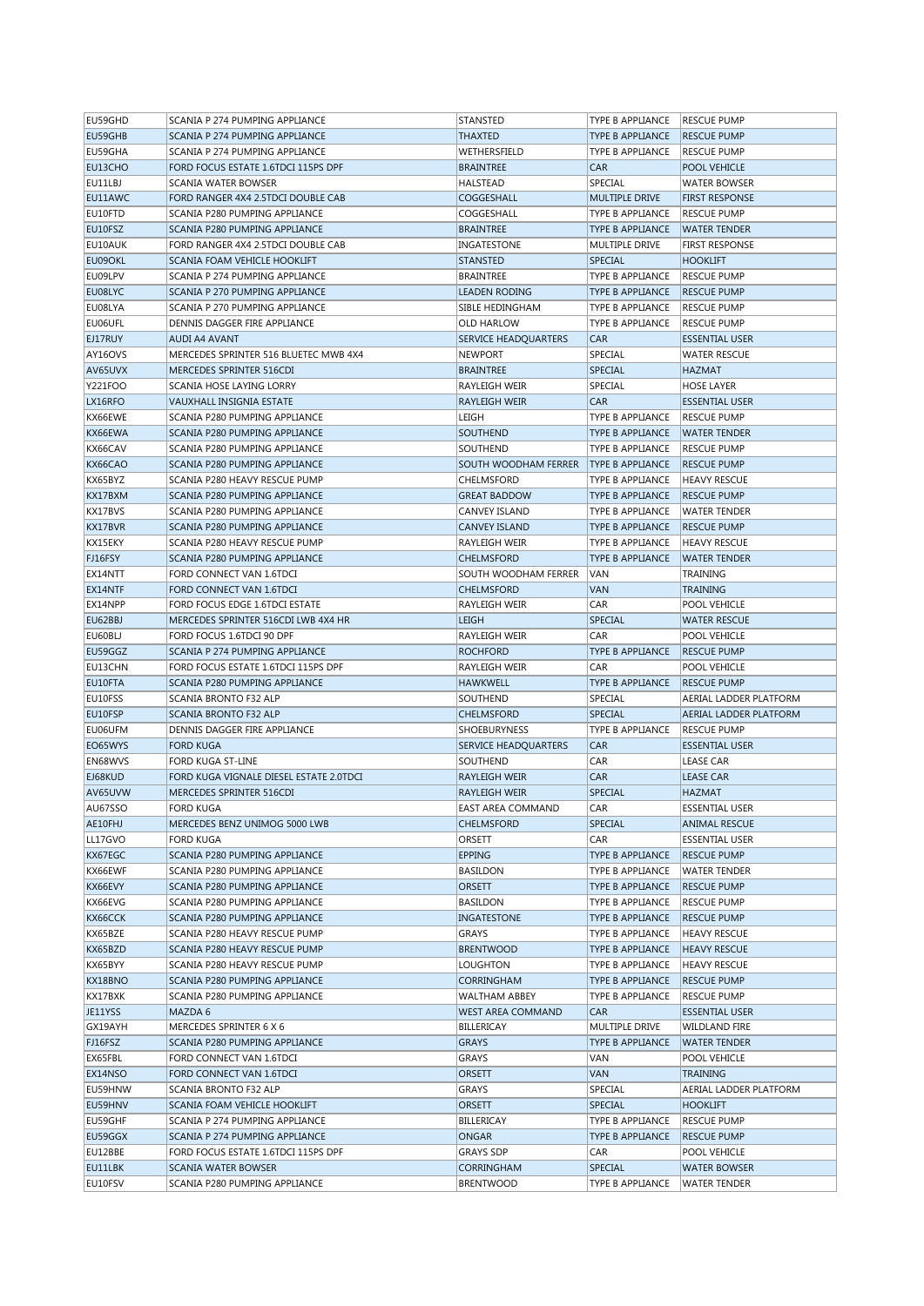| EU59GHD | SCANIA P 274 PUMPING APPLIANCE          | STANSTED                    | TYPE B APPLIANCE        | <b>RESCUE PUMP</b>            |
|---------|-----------------------------------------|-----------------------------|-------------------------|-------------------------------|
| EU59GHB | SCANIA P 274 PUMPING APPLIANCE          | THAXTED                     | TYPE B APPLIANCE        | <b>RESCUE PUMP</b>            |
| EU59GHA | SCANIA P 274 PUMPING APPLIANCE          | WETHERSFIELD                | TYPE B APPLIANCE        | <b>RESCUE PUMP</b>            |
| EU13CHO | FORD FOCUS ESTATE 1.6TDCI 115PS DPF     | <b>BRAINTREE</b>            | <b>CAR</b>              | <b>POOL VEHICLE</b>           |
| EU11LBJ | <b>SCANIA WATER BOWSER</b>              | HALSTEAD                    | SPECIAL                 | <b>WATER BOWSER</b>           |
| EU11AWC | FORD RANGER 4X4 2.5TDCI DOUBLE CAB      | COGGESHALL                  | <b>MULTIPLE DRIVE</b>   | <b>FIRST RESPONSE</b>         |
| EU10FTD | SCANIA P280 PUMPING APPLIANCE           | COGGESHALL                  | TYPE B APPLIANCE        | <b>RESCUE PUMP</b>            |
|         | SCANIA P280 PUMPING APPLIANCE           |                             |                         |                               |
| EU10FSZ |                                         | <b>BRAINTREE</b>            | TYPE B APPLIANCE        | <b>WATER TENDER</b>           |
| EU10AUK | FORD RANGER 4X4 2.5TDCI DOUBLE CAB      | INGATESTONE                 | MULTIPLE DRIVE          | <b>FIRST RESPONSE</b>         |
| EU09OKL | SCANIA FOAM VEHICLE HOOKLIFT            | <b>STANSTED</b>             | SPECIAL                 | <b>HOOKLIFT</b>               |
| EU09LPV | SCANIA P 274 PUMPING APPLIANCE          | <b>BRAINTREE</b>            | TYPE B APPLIANCE        | <b>RESCUE PUMP</b>            |
| EU08LYC | SCANIA P 270 PUMPING APPLIANCE          | <b>LEADEN RODING</b>        | <b>TYPE B APPLIANCE</b> | <b>RESCUE PUMP</b>            |
| EU08LYA | SCANIA P 270 PUMPING APPLIANCE          | SIBLE HEDINGHAM             | TYPE B APPLIANCE        | <b>RESCUE PUMP</b>            |
| EU06UFL | DENNIS DAGGER FIRE APPLIANCE            | <b>OLD HARLOW</b>           | TYPE B APPLIANCE        | <b>RESCUE PUMP</b>            |
| EJ17RUY | AUDI A4 AVANT                           | <b>SERVICE HEADQUARTERS</b> | <b>CAR</b>              | <b>ESSENTIAL USER</b>         |
| AY16OVS | MERCEDES SPRINTER 516 BLUETEC MWB 4X4   | <b>NEWPORT</b>              | SPECIAL                 | <b>WATER RESCUE</b>           |
| AV65UVX | MERCEDES SPRINTER 516CDI                | <b>BRAINTREE</b>            | <b>SPECIAL</b>          | <b>HAZMAT</b>                 |
| Y221FOO | SCANIA HOSE LAYING LORRY                | RAYLEIGH WEIR               | SPECIAL                 | <b>HOSE LAYER</b>             |
| LX16RFO | VAUXHALL INSIGNIA ESTATE                | RAYLEIGH WEIR               | <b>CAR</b>              | <b>ESSENTIAL USER</b>         |
| KX66EWE |                                         |                             |                         |                               |
|         | SCANIA P280 PUMPING APPLIANCE           | LEIGH                       | TYPE B APPLIANCE        | <b>RESCUE PUMP</b>            |
| KX66EWA | SCANIA P280 PUMPING APPLIANCE           | <b>SOUTHEND</b>             | TYPE B APPLIANCE        | <b>WATER TENDER</b>           |
| KX66CAV | SCANIA P280 PUMPING APPLIANCE           | SOUTHEND                    | TYPE B APPLIANCE        | <b>RESCUE PUMP</b>            |
| KX66CAO | SCANIA P280 PUMPING APPLIANCE           | SOUTH WOODHAM FERRER        | <b>TYPE B APPLIANCE</b> | <b>RESCUE PUMP</b>            |
| KX65BYZ | SCANIA P280 HEAVY RESCUE PUMP           | CHELMSFORD                  | TYPE B APPLIANCE        | <b>HEAVY RESCUE</b>           |
| KX17BXM | SCANIA P280 PUMPING APPLIANCE           | <b>GREAT BADDOW</b>         | TYPE B APPLIANCE        | <b>RESCUE PUMP</b>            |
| KX17BVS | SCANIA P280 PUMPING APPLIANCE           | <b>CANVEY ISLAND</b>        | TYPE B APPLIANCE        | <b>WATER TENDER</b>           |
| KX17BVR | SCANIA P280 PUMPING APPLIANCE           | <b>CANVEY ISLAND</b>        | <b>TYPE B APPLIANCE</b> | <b>RESCUE PUMP</b>            |
| KX15EKY | SCANIA P280 HEAVY RESCUE PUMP           | RAYLEIGH WEIR               | TYPE B APPLIANCE        | <b>HEAVY RESCUE</b>           |
| FJ16FSY | SCANIA P280 PUMPING APPLIANCE           | <b>CHELMSFORD</b>           | <b>TYPE B APPLIANCE</b> | <b>WATER TENDER</b>           |
| EX14NTT | FORD CONNECT VAN 1.6TDCI                | SOUTH WOODHAM FERRER        | VAN                     | <b>TRAINING</b>               |
|         |                                         |                             |                         |                               |
| EX14NTF | FORD CONNECT VAN 1.6TDCI                | <b>CHELMSFORD</b>           | <b>VAN</b>              | <b>TRAINING</b>               |
| EX14NPP | FORD FOCUS EDGE 1.6TDCI ESTATE          | RAYLEIGH WEIR               | CAR                     | POOL VEHICLE                  |
| EU62BBJ | MERCEDES SPRINTER 516CDI LWB 4X4 HR     | LEIGH                       | SPECIAL                 | <b>WATER RESCUE</b>           |
| EU60BLJ | FORD FOCUS 1.6TDCI 90 DPF               | RAYLEIGH WEIR               | CAR                     | POOL VEHICLE                  |
| EU59GGZ | SCANIA P 274 PUMPING APPLIANCE          | <b>ROCHFORD</b>             | TYPE B APPLIANCE        | <b>RESCUE PUMP</b>            |
| EU13CHN | FORD FOCUS ESTATE 1.6TDCI 115PS DPF     | RAYLEIGH WEIR               | CAR                     | POOL VEHICLE                  |
| EU10FTA | SCANIA P280 PUMPING APPLIANCE           | <b>HAWKWELL</b>             | TYPE B APPLIANCE        | <b>RESCUE PUMP</b>            |
| EU10FSS | SCANIA BRONTO F32 ALP                   | SOUTHEND                    | SPECIAL                 | AERIAL LADDER PLATFORM        |
| EU10FSP | SCANIA BRONTO F32 ALP                   | <b>CHELMSFORD</b>           | <b>SPECIAL</b>          | <b>AERIAL LADDER PLATFORM</b> |
| EU06UFM | DENNIS DAGGER FIRE APPLIANCE            | <b>SHOEBURYNESS</b>         | TYPE B APPLIANCE        | <b>RESCUE PUMP</b>            |
| EO65WYS | <b>FORD KUGA</b>                        | SERVICE HEADQUARTERS        | <b>CAR</b>              | <b>ESSENTIAL USER</b>         |
| EN68WVS |                                         | SOUTHEND                    | CAR                     |                               |
|         | FORD KUGA ST-LINE                       |                             |                         | LEASE CAR                     |
| EJ68KUD | FORD KUGA VIGNALE DIESEL ESTATE 2.0TDCI | <b>RAYLEIGH WEIR</b>        | <b>CAR</b>              | <b>LEASE CAR</b>              |
| AV65UVW | MERCEDES SPRINTER 516CDI                | RAYLEIGH WEIR               | SPECIAL                 | <b>HAZMAT</b>                 |
| AU67SSO | <b>FORD KUGA</b>                        | EAST AREA COMMAND           | CAR                     | <b>ESSENTIAL USER</b>         |
| AE10FHJ | MERCEDES BENZ UNIMOG 5000 LWB           | <b>CHELMSFORD</b>           | SPECIAL                 | <b>ANIMAL RESCUE</b>          |
| LL17GVO | <b>FORD KUGA</b>                        | ORSETT                      | CAR                     | <b>ESSENTIAL USER</b>         |
| KX67EGC | SCANIA P280 PUMPING APPLIANCE           | EPPING                      | TYPE B APPLIANCE        | <b>RESCUE PUMP</b>            |
| KX66EWF | SCANIA P280 PUMPING APPLIANCE           | <b>BASILDON</b>             | TYPE B APPLIANCE        | <b>WATER TENDER</b>           |
| KX66EVY | SCANIA P280 PUMPING APPLIANCE           | <b>ORSETT</b>               | TYPE B APPLIANCE        | <b>RESCUE PUMP</b>            |
| KX66EVG | SCANIA P280 PUMPING APPLIANCE           | BASILDON                    | TYPE B APPLIANCE        | <b>RESCUE PUMP</b>            |
| KX66CCK | SCANIA P280 PUMPING APPLIANCE           | INGATESTONE                 | TYPE B APPLIANCE        | <b>RESCUE PUMP</b>            |
| KX65BZE | SCANIA P280 HEAVY RESCUE PUMP           | GRAYS                       | TYPE B APPLIANCE        | <b>HEAVY RESCUE</b>           |
| KX65BZD | SCANIA P280 HEAVY RESCUE PUMP           | <b>BRENTWOOD</b>            | TYPE B APPLIANCE        | <b>HEAVY RESCUE</b>           |
| KX65BYY | SCANIA P280 HEAVY RESCUE PUMP           |                             |                         |                               |
|         | SCANIA P280 PUMPING APPLIANCE           | LOUGHTON                    | TYPE B APPLIANCE        | <b>HEAVY RESCUE</b>           |
| KX18BNO |                                         | CORRINGHAM                  | TYPE B APPLIANCE        | <b>RESCUE PUMP</b>            |
| KX17BXK | SCANIA P280 PUMPING APPLIANCE           | WALTHAM ABBEY               | TYPE B APPLIANCE        | <b>RESCUE PUMP</b>            |
| JE11YSS | MAZDA 6                                 | WEST AREA COMMAND           | CAR                     | <b>ESSENTIAL USER</b>         |
| GX19AYH | MERCEDES SPRINTER 6 X 6                 | BILLERICAY                  | MULTIPLE DRIVE          | <b>WILDLAND FIRE</b>          |
| FJ16FSZ | SCANIA P280 PUMPING APPLIANCE           | GRAYS                       | TYPE B APPLIANCE        | <b>WATER TENDER</b>           |
| EX65FBL | FORD CONNECT VAN 1.6TDCI                | GRAYS                       | VAN                     | POOL VEHICLE                  |
| EX14NSO | FORD CONNECT VAN 1.6TDCI                | <b>ORSETT</b>               | VAN                     | <b>TRAINING</b>               |
| EU59HNW | SCANIA BRONTO F32 ALP                   | GRAYS                       | SPECIAL                 | AERIAL LADDER PLATFORM        |
| EU59HNV | SCANIA FOAM VEHICLE HOOKLIFT            | <b>ORSETT</b>               | <b>SPECIAL</b>          | <b>HOOKLIFT</b>               |
| EU59GHF | SCANIA P 274 PUMPING APPLIANCE          | BILLERICAY                  | TYPE B APPLIANCE        | <b>RESCUE PUMP</b>            |
| EU59GGX | SCANIA P 274 PUMPING APPLIANCE          | ONGAR                       | TYPE B APPLIANCE        | <b>RESCUE PUMP</b>            |
| EU12BBE |                                         |                             |                         |                               |
|         | FORD FOCUS ESTATE 1.6TDCI 115PS DPF     | <b>GRAYS SDP</b>            | CAR                     | POOL VEHICLE                  |
| EU11LBK | SCANIA WATER BOWSER                     | CORRINGHAM                  | SPECIAL                 | <b>WATER BOWSER</b>           |
| EU10FSV | SCANIA P280 PUMPING APPLIANCE           | <b>BRENTWOOD</b>            | TYPE B APPLIANCE        | <b>WATER TENDER</b>           |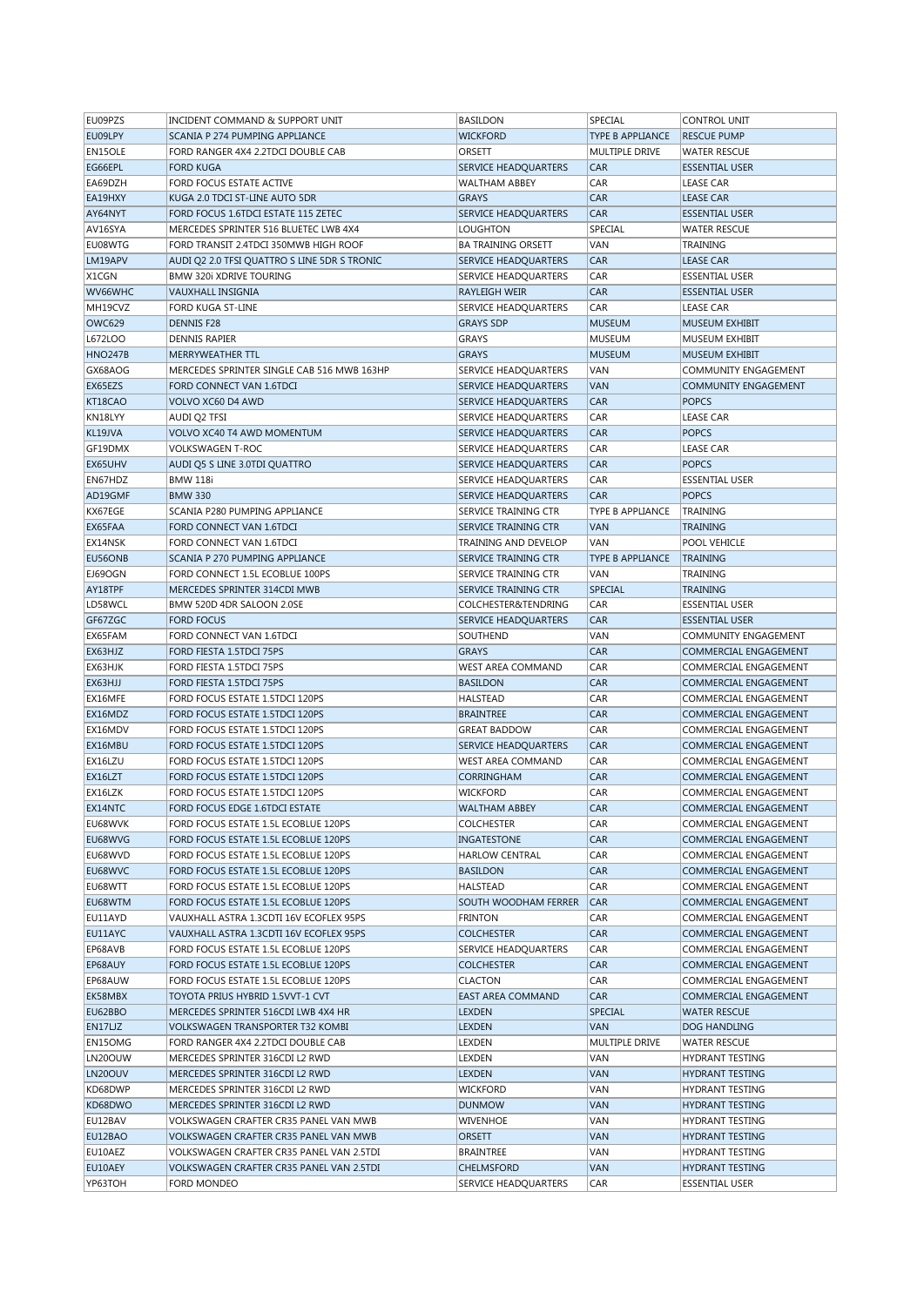| EU09PZS        | INCIDENT COMMAND & SUPPORT UNIT              | <b>BASILDON</b>             | SPECIAL                 | <b>CONTROL UNIT</b>          |
|----------------|----------------------------------------------|-----------------------------|-------------------------|------------------------------|
| EU09LPY        | SCANIA P 274 PUMPING APPLIANCE               | <b>WICKFORD</b>             | <b>TYPE B APPLIANCE</b> | <b>RESCUE PUMP</b>           |
| EN15OLE        | FORD RANGER 4X4 2.2TDCI DOUBLE CAB           | ORSETT                      | MULTIPLE DRIVE          | <b>WATER RESCUE</b>          |
| EG66EPL        | <b>FORD KUGA</b>                             | <b>SERVICE HEADQUARTERS</b> | <b>CAR</b>              | <b>ESSENTIAL USER</b>        |
| EA69DZH        | FORD FOCUS ESTATE ACTIVE                     | <b>WALTHAM ABBEY</b>        | CAR                     | <b>LEASE CAR</b>             |
| EA19HXY        | KUGA 2.0 TDCI ST-LINE AUTO 5DR               | <b>GRAYS</b>                | <b>CAR</b>              | <b>LEASE CAR</b>             |
| AY64NYT        | FORD FOCUS 1.6TDCI ESTATE 115 ZETEC          |                             | <b>CAR</b>              | <b>ESSENTIAL USER</b>        |
|                |                                              | SERVICE HEADQUARTERS        |                         |                              |
| AV16SYA        | MERCEDES SPRINTER 516 BLUETEC LWB 4X4        | LOUGHTON                    | SPECIAL                 | <b>WATER RESCUE</b>          |
| EU08WTG        | FORD TRANSIT 2.4TDCI 350MWB HIGH ROOF        | <b>BA TRAINING ORSETT</b>   | VAN                     | TRAINING                     |
| LM19APV        | AUDI Q2 2.0 TFSI QUATTRO S LINE 5DR S TRONIC | <b>SERVICE HEADQUARTERS</b> | <b>CAR</b>              | <b>LEASE CAR</b>             |
| X1CGN          | <b>BMW 320i XDRIVE TOURING</b>               | SERVICE HEADQUARTERS        | CAR                     | <b>ESSENTIAL USER</b>        |
| WV66WHC        | VAUXHALL INSIGNIA                            | RAYLEIGH WEIR               | <b>CAR</b>              | <b>ESSENTIAL USER</b>        |
| MH19CVZ        | FORD KUGA ST-LINE                            | <b>SERVICE HEADQUARTERS</b> | CAR                     | <b>LEASE CAR</b>             |
| OWC629         | <b>DENNIS F28</b>                            | <b>GRAYS SDP</b>            | <b>MUSEUM</b>           | <b>MUSEUM EXHIBIT</b>        |
| L672LOO        | DENNIS RAPIER                                | <b>GRAYS</b>                | <b>MUSEUM</b>           | MUSEUM EXHIBIT               |
| <b>HNO247B</b> | MERRYWEATHER TTL                             | <b>GRAYS</b>                | <b>MUSEUM</b>           | MUSEUM EXHIBIT               |
| GX68AOG        | MERCEDES SPRINTER SINGLE CAB 516 MWB 163HP   | SERVICE HEADQUARTERS        | VAN                     | COMMUNITY ENGAGEMENT         |
|                |                                              |                             |                         |                              |
| EX65EZS        | FORD CONNECT VAN 1.6TDCI                     | <b>SERVICE HEADQUARTERS</b> | <b>VAN</b>              | <b>COMMUNITY ENGAGEMENT</b>  |
| KT18CAO        | VOLVO XC60 D4 AWD                            | <b>SERVICE HEADQUARTERS</b> | <b>CAR</b>              | <b>POPCS</b>                 |
| KN18LYY        | AUDI Q2 TFSI                                 | <b>SERVICE HEADQUARTERS</b> | CAR                     | <b>LEASE CAR</b>             |
| KL19JVA        | VOLVO XC40 T4 AWD MOMENTUM                   | SERVICE HEADQUARTERS        | <b>CAR</b>              | <b>POPCS</b>                 |
| GF19DMX        | VOLKSWAGEN T-ROC                             | SERVICE HEADQUARTERS        | CAR                     | <b>LEASE CAR</b>             |
| EX65UHV        | AUDI Q5 S LINE 3.0TDI QUATTRO                | SERVICE HEADQUARTERS        | <b>CAR</b>              | <b>POPCS</b>                 |
| EN67HDZ        | <b>BMW 118i</b>                              | SERVICE HEADQUARTERS        | CAR                     | <b>ESSENTIAL USER</b>        |
| AD19GMF        | <b>BMW 330</b>                               | <b>SERVICE HEADQUARTERS</b> | <b>CAR</b>              | <b>POPCS</b>                 |
| KX67EGE        | SCANIA P280 PUMPING APPLIANCE                | SERVICE TRAINING CTR        | TYPE B APPLIANCE        | TRAINING                     |
| EX65FAA        | FORD CONNECT VAN 1.6TDCI                     | SERVICE TRAINING CTR        | <b>VAN</b>              | <b>TRAINING</b>              |
| EX14NSK        | FORD CONNECT VAN 1.6TDCI                     | TRAINING AND DEVELOP        | VAN                     | POOL VEHICLE                 |
|                |                                              |                             |                         |                              |
| EU56ONB        | SCANIA P 270 PUMPING APPLIANCE               | <b>SERVICE TRAINING CTR</b> | <b>TYPE B APPLIANCE</b> | <b>TRAINING</b>              |
| EJ69OGN        | FORD CONNECT 1.5L ECOBLUE 100PS              | SERVICE TRAINING CTR        | VAN                     | <b>TRAINING</b>              |
| AY18TPF        | MERCEDES SPRINTER 314CDI MWB                 | SERVICE TRAINING CTR        | <b>SPECIAL</b>          | <b>TRAINING</b>              |
| LD58WCL        | BMW 520D 4DR SALOON 2.0SE                    | COLCHESTER&TENDRING         | CAR                     | <b>ESSENTIAL USER</b>        |
| GF67ZGC        | <b>FORD FOCUS</b>                            | <b>SERVICE HEADQUARTERS</b> | <b>CAR</b>              | <b>ESSENTIAL USER</b>        |
| EX65FAM        | FORD CONNECT VAN 1.6TDCI                     | SOUTHEND                    | VAN                     | COMMUNITY ENGAGEMENT         |
| EX63HJZ        | FORD FIESTA 1.5TDCI 75PS                     | <b>GRAYS</b>                | CAR                     | COMMERCIAL ENGAGEMENT        |
| EX63HJK        | FORD FIESTA 1.5TDCI 75PS                     | WEST AREA COMMAND           | CAR                     | COMMERCIAL ENGAGEMENT        |
| EX63HJJ        | FORD FIESTA 1.5TDCI 75PS                     | <b>BASILDON</b>             | <b>CAR</b>              | COMMERCIAL ENGAGEMENT        |
| EX16MFE        | FORD FOCUS ESTATE 1.5TDCI 120PS              | HALSTEAD                    | CAR                     | COMMERCIAL ENGAGEMENT        |
| EX16MDZ        | FORD FOCUS ESTATE 1.5TDCI 120PS              | <b>BRAINTREE</b>            | <b>CAR</b>              | COMMERCIAL ENGAGEMENT        |
|                |                                              |                             | CAR                     | <b>COMMERCIAL ENGAGEMENT</b> |
| EX16MDV        | FORD FOCUS ESTATE 1.5TDCI 120PS              | <b>GREAT BADDOW</b>         |                         |                              |
| EX16MBU        | FORD FOCUS ESTATE 1.5TDCI 120PS              | <b>SERVICE HEADQUARTERS</b> | <b>CAR</b>              | COMMERCIAL ENGAGEMENT        |
| EX16LZU        | FORD FOCUS ESTATE 1.5TDCI 120PS              | WEST AREA COMMAND           | CAR                     | COMMERCIAL ENGAGEMENT        |
| EX16LZT        | FORD FOCUS ESTATE 1.5TDCI 120PS              | CORRINGHAM                  | <b>CAR</b>              | COMMERCIAL ENGAGEMENT        |
| EX16LZK        | FORD FOCUS ESTATE 1.5TDCI 120PS              | <b>WICKFORD</b>             | CAR                     | COMMERCIAL ENGAGEMENT        |
| EX14NTC        | FORD FOCUS EDGE 1.6TDCI ESTATE               | <b>WALTHAM ABBEY</b>        | CAR                     | COMMERCIAL ENGAGEMENT        |
| EU68WVK        | FORD FOCUS ESTATE 1.5L ECOBLUE 120PS         | <b>COLCHESTER</b>           | CAR                     | COMMERCIAL ENGAGEMENT        |
| EU68WVG        | FORD FOCUS ESTATE 1.5L ECOBLUE 120PS         | INGATESTONE                 | <b>CAR</b>              | COMMERCIAL ENGAGEMENT        |
| EU68WVD        | FORD FOCUS ESTATE 1.5L ECOBLUE 120PS         | <b>HARLOW CENTRAL</b>       | CAR                     | COMMERCIAL ENGAGEMENT        |
| EU68WVC        | FORD FOCUS ESTATE 1.5L ECOBLUE 120PS         | <b>BASILDON</b>             | CAR                     | COMMERCIAL ENGAGEMENT        |
| EU68WTT        | FORD FOCUS ESTATE 1.5L ECOBLUE 120PS         | HALSTEAD                    | CAR                     | COMMERCIAL ENGAGEMENT        |
| EU68WTM        | FORD FOCUS ESTATE 1.5L ECOBLUE 120PS         | SOUTH WOODHAM FERRER        | <b>CAR</b>              | COMMERCIAL ENGAGEMENT        |
| EU11AYD        | VAUXHALL ASTRA 1.3CDTI 16V ECOFLEX 95PS      | <b>FRINTON</b>              | CAR                     | COMMERCIAL ENGAGEMENT        |
|                |                                              |                             |                         |                              |
| EU11AYC        | VAUXHALL ASTRA 1.3CDTI 16V ECOFLEX 95PS      | <b>COLCHESTER</b>           | <b>CAR</b>              | COMMERCIAL ENGAGEMENT        |
| EP68AVB        | FORD FOCUS ESTATE 1.5L ECOBLUE 120PS         | SERVICE HEADQUARTERS        | CAR                     | COMMERCIAL ENGAGEMENT        |
| EP68AUY        | FORD FOCUS ESTATE 1.5L ECOBLUE 120PS         | <b>COLCHESTER</b>           | CAR                     | COMMERCIAL ENGAGEMENT        |
| EP68AUW        | FORD FOCUS ESTATE 1.5L ECOBLUE 120PS         | <b>CLACTON</b>              | CAR                     | COMMERCIAL ENGAGEMENT        |
| EK58MBX        | TOYOTA PRIUS HYBRID 1.5VVT-1 CVT             | <b>EAST AREA COMMAND</b>    | <b>CAR</b>              | COMMERCIAL ENGAGEMENT        |
| EU62BBO        | MERCEDES SPRINTER 516CDI LWB 4X4 HR          | <b>LEXDEN</b>               | <b>SPECIAL</b>          | <b>WATER RESCUE</b>          |
| EN17LJZ        | VOLKSWAGEN TRANSPORTER T32 KOMBI             | <b>LEXDEN</b>               | VAN                     | DOG HANDLING                 |
| EN15OMG        | FORD RANGER 4X4 2.2TDCI DOUBLE CAB           | LEXDEN                      | MULTIPLE DRIVE          | <b>WATER RESCUE</b>          |
| LN20OUW        | MERCEDES SPRINTER 316CDI L2 RWD              | LEXDEN                      | VAN                     | HYDRANT TESTING              |
| LN20OUV        | MERCEDES SPRINTER 316CDI L2 RWD              | <b>LEXDEN</b>               | VAN                     | <b>HYDRANT TESTING</b>       |
|                |                                              |                             |                         |                              |
| KD68DWP        | MERCEDES SPRINTER 316CDI L2 RWD              | <b>WICKFORD</b>             | VAN                     | HYDRANT TESTING              |
| KD68DWO        | MERCEDES SPRINTER 316CDI L2 RWD              | <b>DUNMOW</b>               | VAN                     | <b>HYDRANT TESTING</b>       |
| EU12BAV        | VOLKSWAGEN CRAFTER CR35 PANEL VAN MWB        | <b>WIVENHOE</b>             | VAN                     | HYDRANT TESTING              |
| EU12BAO        | VOLKSWAGEN CRAFTER CR35 PANEL VAN MWB        | <b>ORSETT</b>               | VAN                     | <b>HYDRANT TESTING</b>       |
| EU10AEZ        | VOLKSWAGEN CRAFTER CR35 PANEL VAN 2.5TDI     | <b>BRAINTREE</b>            | VAN                     | HYDRANT TESTING              |
|                |                                              |                             |                         |                              |
| EU10AEY        | VOLKSWAGEN CRAFTER CR35 PANEL VAN 2.5TDI     | <b>CHELMSFORD</b>           | VAN                     | <b>HYDRANT TESTING</b>       |